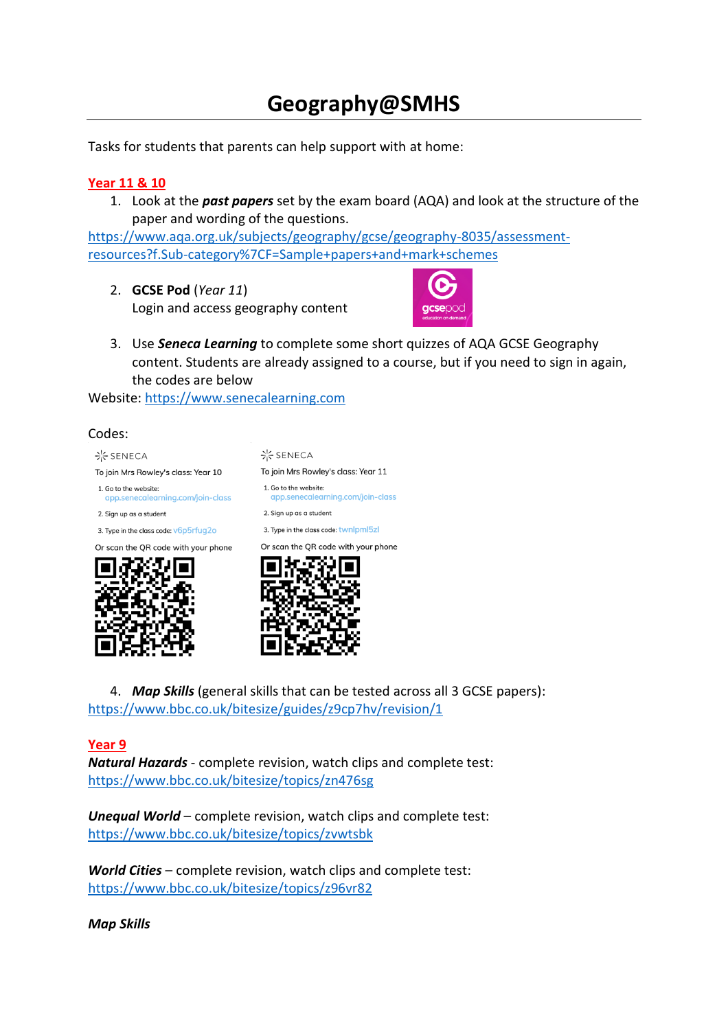# **Geography@SMHS**

Tasks for students that parents can help support with at home:

# **Year 11 & 10**

1. Look at the *past papers* set by the exam board (AQA) and look at the structure of the paper and wording of the questions.

[https://www.aqa.org.uk/subjects/geography/gcse/geography-8035/assessment](https://www.aqa.org.uk/subjects/geography/gcse/geography-8035/assessment-resources?f.Sub-category%7CF=Sample+papers+and+mark+schemes)[resources?f.Sub-category%7CF=Sample+papers+and+mark+schemes](https://www.aqa.org.uk/subjects/geography/gcse/geography-8035/assessment-resources?f.Sub-category%7CF=Sample+papers+and+mark+schemes)

2. **GCSE Pod** (*Year 11*) Login and access geography content



3. Use *Seneca Learning* to complete some short quizzes of AQA GCSE Geography content. Students are already assigned to a course, but if you need to sign in again, the codes are below

Website: [https://www.senecalearning.com](https://www.senecalearning.com/)

#### Codes:







4. *Map Skills* (general skills that can be tested across all 3 GCSE papers): <https://www.bbc.co.uk/bitesize/guides/z9cp7hv/revision/1>

### **Year 9**

*Natural Hazards* - complete revision, watch clips and complete test: <https://www.bbc.co.uk/bitesize/topics/zn476sg>

*Unequal World* – complete revision, watch clips and complete test: <https://www.bbc.co.uk/bitesize/topics/zvwtsbk>

*World Cities* – complete revision, watch clips and complete test: <https://www.bbc.co.uk/bitesize/topics/z96vr82>

*Map Skills*